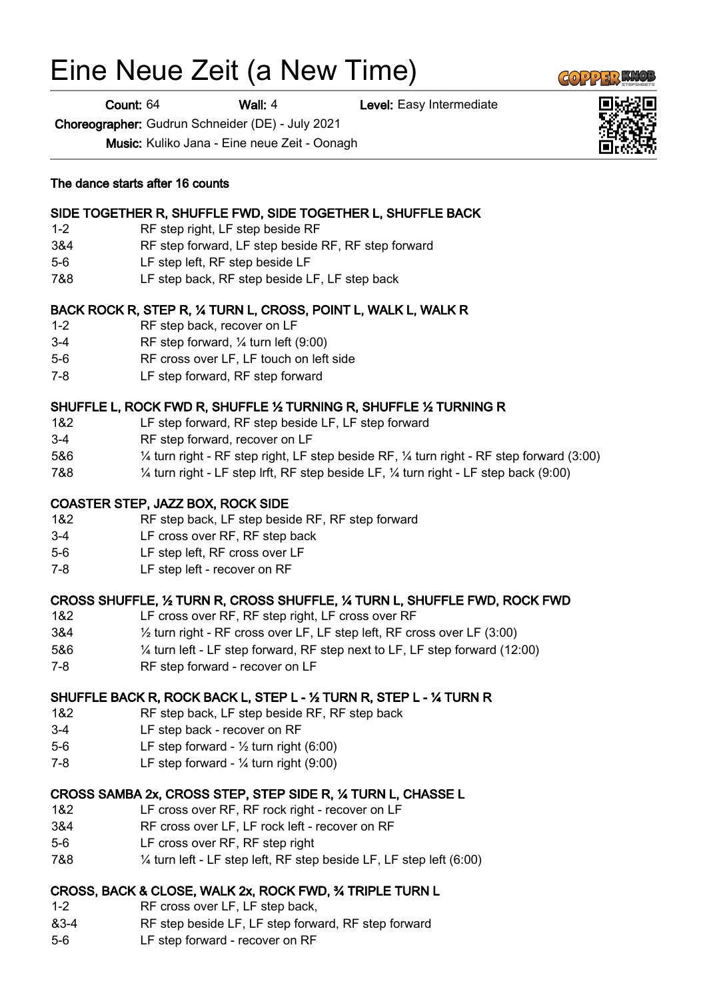# Eine Neue Zeit (a New Time)

Count: 64 Wall: 4 Level: Easy Intermediate

Choreographer: Gudrun Schneider (DE) - July 2021

1-2 RF step right, LF step beside RF

The dance starts after 16 counts

Music: Kuliko Jana - Eine neue Zeit - Oonagh

| $5-6$   | LF step left, RF step beside LF                                                                                |
|---------|----------------------------------------------------------------------------------------------------------------|
| 7&8     | LF step back, RF step beside LF, LF step back                                                                  |
|         | BACK ROCK R, STEP R, 1/4 TURN L, CROSS, POINT L, WALK L, WALK R                                                |
| $1 - 2$ | RF step back, recover on LF                                                                                    |
| $3 - 4$ | RF step forward, $\frac{1}{4}$ turn left (9:00)                                                                |
| $5-6$   | RF cross over LF, LF touch on left side                                                                        |
| $7-8$   | LF step forward, RF step forward                                                                               |
|         | SHUFFLE L, ROCK FWD R, SHUFFLE 1/2 TURNING R, SHUFFLE 1/2 TURNING R                                            |
| 1&2     | LF step forward, RF step beside LF, LF step forward                                                            |
| $3 - 4$ | RF step forward, recover on LF                                                                                 |
| 5&6     | $\frac{1}{4}$ turn right - RF step right, LF step beside RF, $\frac{1}{4}$ turn right - RF step forward (3:00) |
| 7&8     | $\frac{1}{4}$ turn right - LF step lrft, RF step beside LF, $\frac{1}{4}$ turn right - LF step back (9:00)     |
|         | <b>COASTER STEP, JAZZ BOX, ROCK SIDE</b>                                                                       |
|         |                                                                                                                |

## COAS<sup>-</sup>

- 1&2 RF step back, LF step beside RF, RF step forward
- 3-4 LF cross over RF, RF step back
- 5-6 LF step left, RF cross over LF
- 7-8 LF step left recover on RF

### CROSS SHUFFLE, ½ TURN R, CROSS SHUFFLE, ¼ TURN L, SHUFFLE FWD, ROCK FWD

- 1&2 LF cross over RF, RF step right, LF cross over RF
- 3&4 ½ turn right RF cross over LF, LF step left, RF cross over LF (3:00)
- 5&6 ¼ turn left LF step forward, RF step next to LF, LF step forward (12:00)
- 7-8 RF step forward recover on LF

## SHUFFLE BACK R, ROCK BACK L, STEP L - ½ TURN R, STEP L - ¼ TURN R

- 1&2 RF step back, LF step beside RF, RF step back
- 3-4 LF step back recover on RF
- 5-6 LF step forward ½ turn right (6:00)
- 7-8 LF step forward ¼ turn right (9:00)

### CROSS SAMBA 2x, CROSS STEP, STEP SIDE R, ¼ TURN L, CHASSE L

- 1&2 LF cross over RF, RF rock right recover on LF
- 3&4 RF cross over LF, LF rock left recover on RF
- 5-6 LF cross over RF, RF step right
- 7&8 ¼ turn left LF step left, RF step beside LF, LF step left (6:00)

# CROSS, BACK & CLOSE, WALK 2x, ROCK FWD, ¾ TRIPLE TURN L

- 1-2 RF cross over LF, LF step back,
- &3-4 RF step beside LF, LF step forward, RF step forward
- 5-6 LF step forward recover on RF





3&4 RF step forward, LF step beside RF, RF step forward

SIDE TOGETHER R, SHUFFLE FWD, SIDE TOGETHER L, SHUFFLE BACK